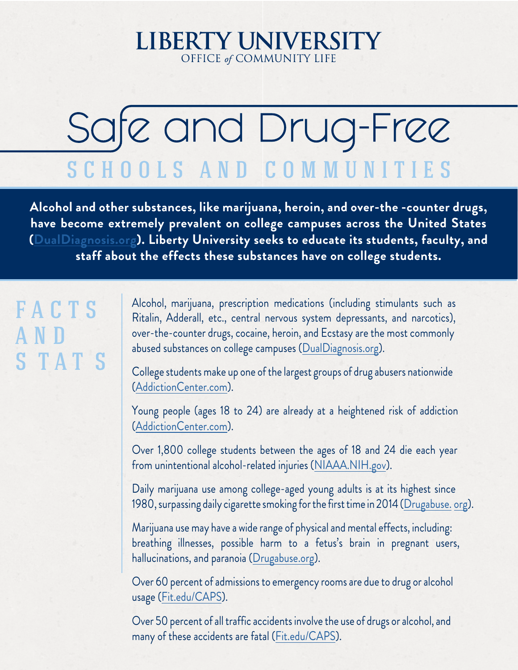### **LIBERTY UNIVERSITY** OFFICE of COMMUNITY LIFE

# Safe and Drug-Free SCHOOLS AND COMMUNITIES

**Alcohol and other substances, like marijuana, heroin, and over-the -counter drugs, have become extremely prevalent on college campuses across the United States ([DualDiagnosis.org](http://www.dualdiagnosis.org/drug-addiction/college-drug-abuse/)). Liberty University seeks to educate its students, faculty, and staff about the effects these substances have on college students.**

# F A C T S A N D S T A T S

Alcohol, marijuana, prescription medications (including stimulants such as Ritalin, Adderall, etc., central nervous system depressants, and narcotics), over-the-counter drugs, cocaine, heroin, and Ecstasy are the most commonly abused substances on college campuses [\(DualDiagnosis.org\)](http://www.dualdiagnosis.org/drug-addiction/college-drug-abuse/).

College students make up one of the largest groups of drug abusers nationwide [\(AddictionCenter.com\)](https://www.addictioncenter.com/college/).

Young people (ages 18 to 24) are already at a heightened risk of addiction [\(AddictionCenter.com\)](https://www.addictioncenter.com/college/).

Over 1,800 college students between the ages of 18 and 24 die each year from unintentional alcohol-related injuries [\(NIAAA.NIH.gov](http://pubs.niaaa.nih.gov/publications/CollegeFactSheet/CollegeFactSheet.pdf)).

Daily marijuana use among college-aged young adults is at its highest since 1980, surpassing daily cigarette smoking for the first time in 2014 [\(Drugabuse.](https://www.drugabuse.gov/related-topics/college-age-young-adults) [org\)](https://www.drugabuse.gov/related-topics/college-age-young-adults).

Marijuana use may have a wide range of physical and mental effects, including: breathing illnesses, possible harm to a fetus's brain in pregnant users, hallucinations, and paranoia ([Drugabuse.org\)](https://www.drugabuse.gov/publications/research-reports/marijuana/what-marijuana).

Over 60 percent of admissions to emergency rooms are due to drug or alcohol usage ([Fit.edu/CAPS](http://www.fit.edu/caps/documents/timewarp.doc)).

Over 50 percent of all traffic accidents involve the use of drugs or alcohol, and many of these accidents are fatal ([Fit.edu/CAPS\)](http://www.fit.edu/caps/documents/timewarp.doc).